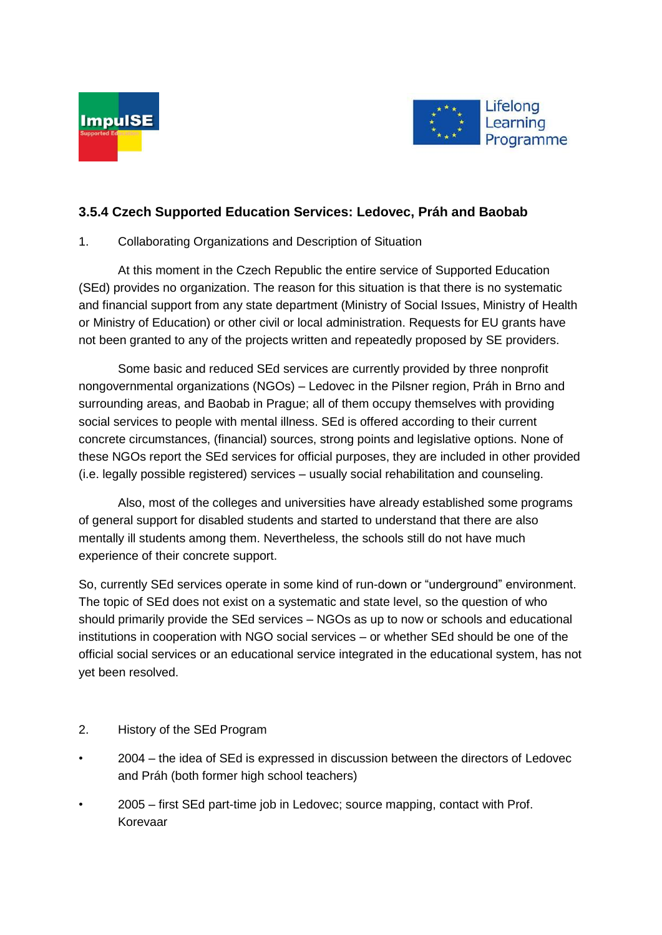



# **3.5.4 Czech Supported Education Services: Ledovec, Práh and Baobab**

## 1. Collaborating Organizations and Description of Situation

At this moment in the Czech Republic the entire service of Supported Education (SEd) provides no organization. The reason for this situation is that there is no systematic and financial support from any state department (Ministry of Social Issues, Ministry of Health or Ministry of Education) or other civil or local administration. Requests for EU grants have not been granted to any of the projects written and repeatedly proposed by SE providers.

Some basic and reduced SEd services are currently provided by three nonprofit nongovernmental organizations (NGOs) – Ledovec in the Pilsner region, Práh in Brno and surrounding areas, and Baobab in Prague; all of them occupy themselves with providing social services to people with mental illness. SEd is offered according to their current concrete circumstances, (financial) sources, strong points and legislative options. None of these NGOs report the SEd services for official purposes, they are included in other provided (i.e. legally possible registered) services – usually social rehabilitation and counseling.

Also, most of the colleges and universities have already established some programs of general support for disabled students and started to understand that there are also mentally ill students among them. Nevertheless, the schools still do not have much experience of their concrete support.

So, currently SEd services operate in some kind of run-down or "underground" environment. The topic of SEd does not exist on a systematic and state level, so the question of who should primarily provide the SEd services – NGOs as up to now or schools and educational institutions in cooperation with NGO social services – or whether SEd should be one of the official social services or an educational service integrated in the educational system, has not yet been resolved.

### 2. History of the SEd Program

- 2004 the idea of SEd is expressed in discussion between the directors of Ledovec and Práh (both former high school teachers)
- 2005 first SEd part-time job in Ledovec; source mapping, contact with Prof. Korevaar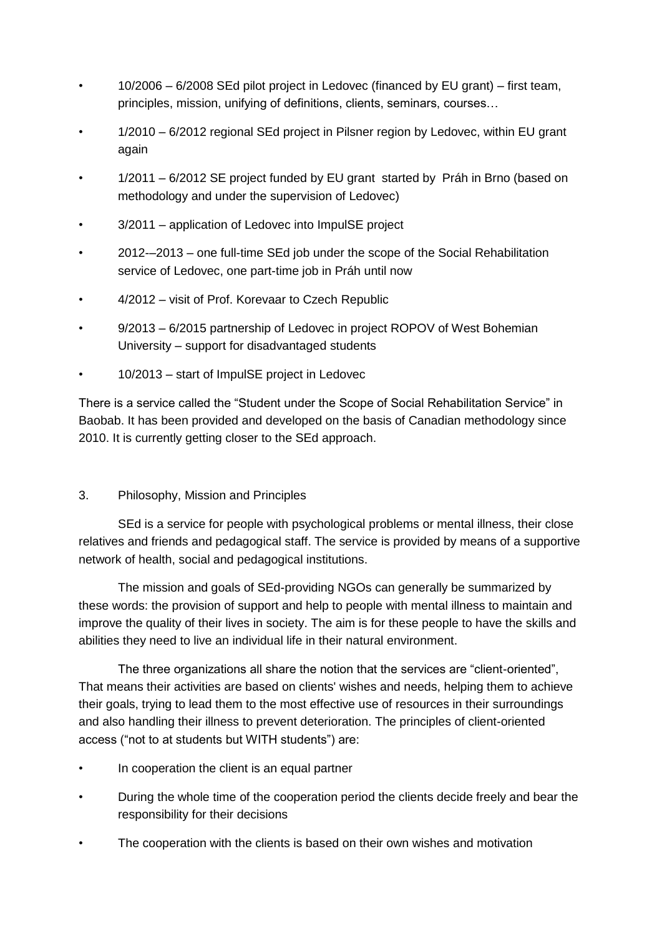- 10/2006 6/2008 SEd pilot project in Ledovec (financed by EU grant) first team, principles, mission, unifying of definitions, clients, seminars, courses…
- 1/2010 6/2012 regional SEd project in Pilsner region by Ledovec, within EU grant again
- 1/2011 6/2012 SE project funded by EU grant started by Práh in Brno (based on methodology and under the supervision of Ledovec)
- 3/2011 application of Ledovec into ImpulSE project
- 2012-–2013 one full-time SEd job under the scope of the Social Rehabilitation service of Ledovec, one part-time job in Práh until now
- 4/2012 visit of Prof. Korevaar to Czech Republic
- 9/2013 6/2015 partnership of Ledovec in project ROPOV of West Bohemian University – support for disadvantaged students
- 10/2013 start of ImpulSE project in Ledovec

There is a service called the "Student under the Scope of Social Rehabilitation Service" in Baobab. It has been provided and developed on the basis of Canadian methodology since 2010. It is currently getting closer to the SEd approach.

### 3. Philosophy, Mission and Principles

SEd is a service for people with psychological problems or mental illness, their close relatives and friends and pedagogical staff. The service is provided by means of a supportive network of health, social and pedagogical institutions.

The mission and goals of SEd-providing NGOs can generally be summarized by these words: the provision of support and help to people with mental illness to maintain and improve the quality of their lives in society. The aim is for these people to have the skills and abilities they need to live an individual life in their natural environment.

The three organizations all share the notion that the services are "client-oriented", That means their activities are based on clients' wishes and needs, helping them to achieve their goals, trying to lead them to the most effective use of resources in their surroundings and also handling their illness to prevent deterioration. The principles of client-oriented access ("not to at students but WITH students") are:

- In cooperation the client is an equal partner
- During the whole time of the cooperation period the clients decide freely and bear the responsibility for their decisions
- The cooperation with the clients is based on their own wishes and motivation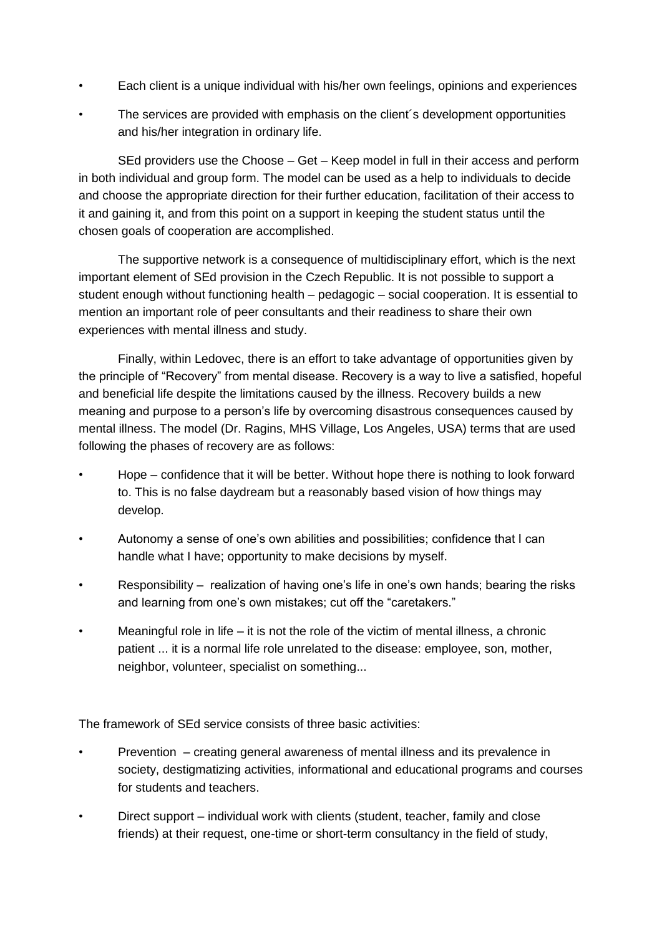- Each client is a unique individual with his/her own feelings, opinions and experiences
- The services are provided with emphasis on the client's development opportunities and his/her integration in ordinary life.

SEd providers use the Choose – Get – Keep model in full in their access and perform in both individual and group form. The model can be used as a help to individuals to decide and choose the appropriate direction for their further education, facilitation of their access to it and gaining it, and from this point on a support in keeping the student status until the chosen goals of cooperation are accomplished.

The supportive network is a consequence of multidisciplinary effort, which is the next important element of SEd provision in the Czech Republic. It is not possible to support a student enough without functioning health – pedagogic – social cooperation. It is essential to mention an important role of peer consultants and their readiness to share their own experiences with mental illness and study.

Finally, within Ledovec, there is an effort to take advantage of opportunities given by the principle of "Recovery" from mental disease. Recovery is a way to live a satisfied, hopeful and beneficial life despite the limitations caused by the illness. Recovery builds a new meaning and purpose to a person's life by overcoming disastrous consequences caused by mental illness. The model (Dr. Ragins, MHS Village, Los Angeles, USA) terms that are used following the phases of recovery are as follows:

- Hope confidence that it will be better. Without hope there is nothing to look forward to. This is no false daydream but a reasonably based vision of how things may develop.
- Autonomy a sense of one's own abilities and possibilities; confidence that I can handle what I have; opportunity to make decisions by myself.
- Responsibility realization of having one's life in one's own hands; bearing the risks and learning from one's own mistakes; cut off the "caretakers."
- Meaningful role in life it is not the role of the victim of mental illness, a chronic patient ... it is a normal life role unrelated to the disease: employee, son, mother, neighbor, volunteer, specialist on something...

The framework of SEd service consists of three basic activities:

- Prevention creating general awareness of mental illness and its prevalence in society, destigmatizing activities, informational and educational programs and courses for students and teachers.
- Direct support individual work with clients (student, teacher, family and close friends) at their request, one-time or short-term consultancy in the field of study,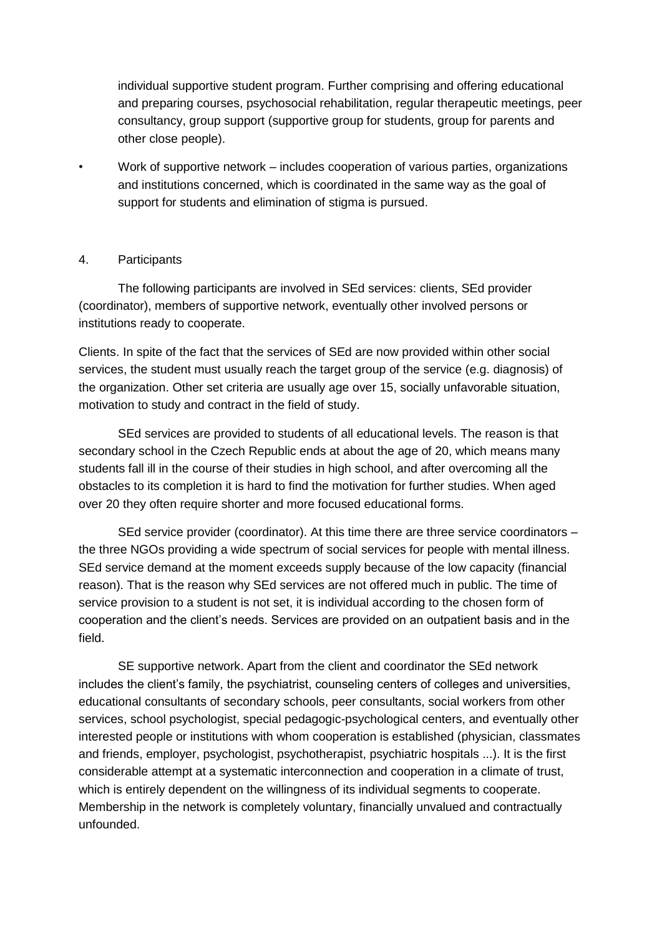individual supportive student program. Further comprising and offering educational and preparing courses, psychosocial rehabilitation, regular therapeutic meetings, peer consultancy, group support (supportive group for students, group for parents and other close people).

• Work of supportive network – includes cooperation of various parties, organizations and institutions concerned, which is coordinated in the same way as the goal of support for students and elimination of stigma is pursued.

#### 4. Participants

The following participants are involved in SEd services: clients, SEd provider (coordinator), members of supportive network, eventually other involved persons or institutions ready to cooperate.

Clients. In spite of the fact that the services of SEd are now provided within other social services, the student must usually reach the target group of the service (e.g. diagnosis) of the organization. Other set criteria are usually age over 15, socially unfavorable situation, motivation to study and contract in the field of study.

SEd services are provided to students of all educational levels. The reason is that secondary school in the Czech Republic ends at about the age of 20, which means many students fall ill in the course of their studies in high school, and after overcoming all the obstacles to its completion it is hard to find the motivation for further studies. When aged over 20 they often require shorter and more focused educational forms.

SEd service provider (coordinator). At this time there are three service coordinators – the three NGOs providing a wide spectrum of social services for people with mental illness. SEd service demand at the moment exceeds supply because of the low capacity (financial reason). That is the reason why SEd services are not offered much in public. The time of service provision to a student is not set, it is individual according to the chosen form of cooperation and the client's needs. Services are provided on an outpatient basis and in the field.

SE supportive network. Apart from the client and coordinator the SEd network includes the client's family, the psychiatrist, counseling centers of colleges and universities, educational consultants of secondary schools, peer consultants, social workers from other services, school psychologist, special pedagogic-psychological centers, and eventually other interested people or institutions with whom cooperation is established (physician, classmates and friends, employer, psychologist, psychotherapist, psychiatric hospitals ...). It is the first considerable attempt at a systematic interconnection and cooperation in a climate of trust, which is entirely dependent on the willingness of its individual segments to cooperate. Membership in the network is completely voluntary, financially unvalued and contractually unfounded.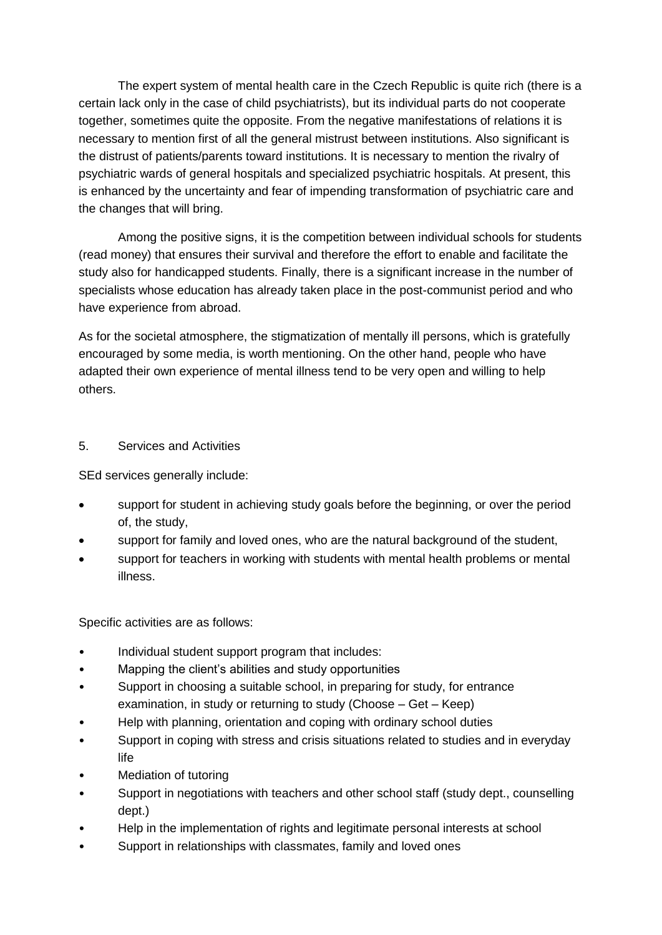The expert system of mental health care in the Czech Republic is quite rich (there is a certain lack only in the case of child psychiatrists), but its individual parts do not cooperate together, sometimes quite the opposite. From the negative manifestations of relations it is necessary to mention first of all the general mistrust between institutions. Also significant is the distrust of patients/parents toward institutions. It is necessary to mention the rivalry of psychiatric wards of general hospitals and specialized psychiatric hospitals. At present, this is enhanced by the uncertainty and fear of impending transformation of psychiatric care and the changes that will bring.

Among the positive signs, it is the competition between individual schools for students (read money) that ensures their survival and therefore the effort to enable and facilitate the study also for handicapped students. Finally, there is a significant increase in the number of specialists whose education has already taken place in the post-communist period and who have experience from abroad.

As for the societal atmosphere, the stigmatization of mentally ill persons, which is gratefully encouraged by some media, is worth mentioning. On the other hand, people who have adapted their own experience of mental illness tend to be very open and willing to help others.

### 5. Services and Activities

SEd services generally include:

- support for student in achieving study goals before the beginning, or over the period of, the study,
- support for family and loved ones, who are the natural background of the student,
- support for teachers in working with students with mental health problems or mental illness.

Specific activities are as follows:

- Individual student support program that includes:
- Mapping the client's abilities and study opportunities
- Support in choosing a suitable school, in preparing for study, for entrance examination, in study or returning to study (Choose – Get – Keep)
- Help with planning, orientation and coping with ordinary school duties
- Support in coping with stress and crisis situations related to studies and in everyday life
- Mediation of tutoring
- Support in negotiations with teachers and other school staff (study dept., counselling dept.)
- Help in the implementation of rights and legitimate personal interests at school
- Support in relationships with classmates, family and loved ones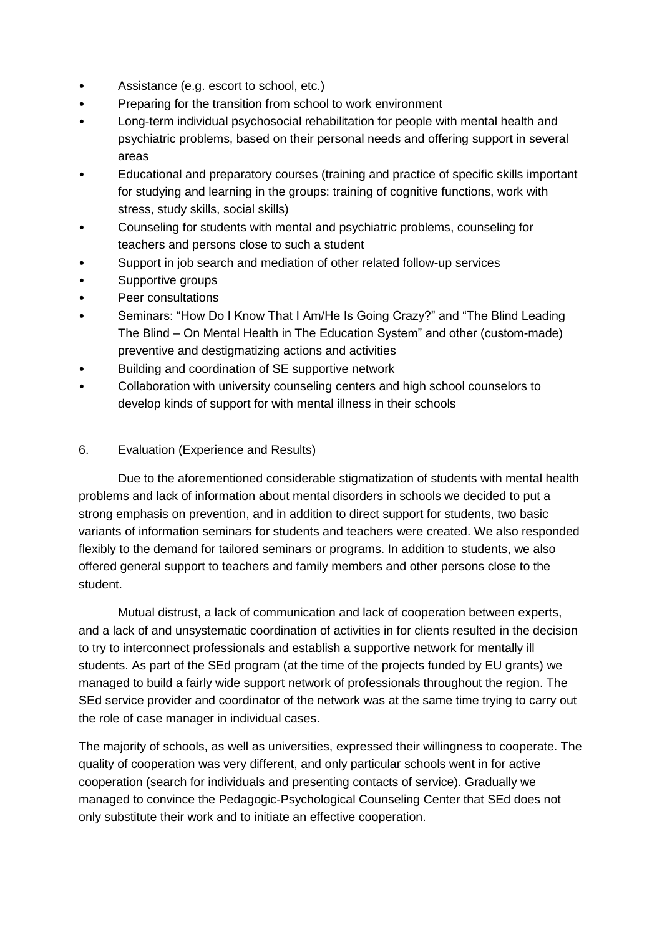- Assistance (e.g. escort to school, etc.)
- Preparing for the transition from school to work environment
- Long-term individual psychosocial rehabilitation for people with mental health and psychiatric problems, based on their personal needs and offering support in several areas
- Educational and preparatory courses (training and practice of specific skills important for studying and learning in the groups: training of cognitive functions, work with stress, study skills, social skills)
- Counseling for students with mental and psychiatric problems, counseling for teachers and persons close to such a student
- Support in job search and mediation of other related follow-up services
- Supportive groups
- Peer consultations
- Seminars: "How Do I Know That I Am/He Is Going Crazy?" and "The Blind Leading The Blind – On Mental Health in The Education System" and other (custom-made) preventive and destigmatizing actions and activities
- Building and coordination of SE supportive network
- Collaboration with university counseling centers and high school counselors to develop kinds of support for with mental illness in their schools

### 6. Evaluation (Experience and Results)

Due to the aforementioned considerable stigmatization of students with mental health problems and lack of information about mental disorders in schools we decided to put a strong emphasis on prevention, and in addition to direct support for students, two basic variants of information seminars for students and teachers were created. We also responded flexibly to the demand for tailored seminars or programs. In addition to students, we also offered general support to teachers and family members and other persons close to the student.

Mutual distrust, a lack of communication and lack of cooperation between experts, and a lack of and unsystematic coordination of activities in for clients resulted in the decision to try to interconnect professionals and establish a supportive network for mentally ill students. As part of the SEd program (at the time of the projects funded by EU grants) we managed to build a fairly wide support network of professionals throughout the region. The SEd service provider and coordinator of the network was at the same time trying to carry out the role of case manager in individual cases.

The majority of schools, as well as universities, expressed their willingness to cooperate. The quality of cooperation was very different, and only particular schools went in for active cooperation (search for individuals and presenting contacts of service). Gradually we managed to convince the Pedagogic-Psychological Counseling Center that SEd does not only substitute their work and to initiate an effective cooperation.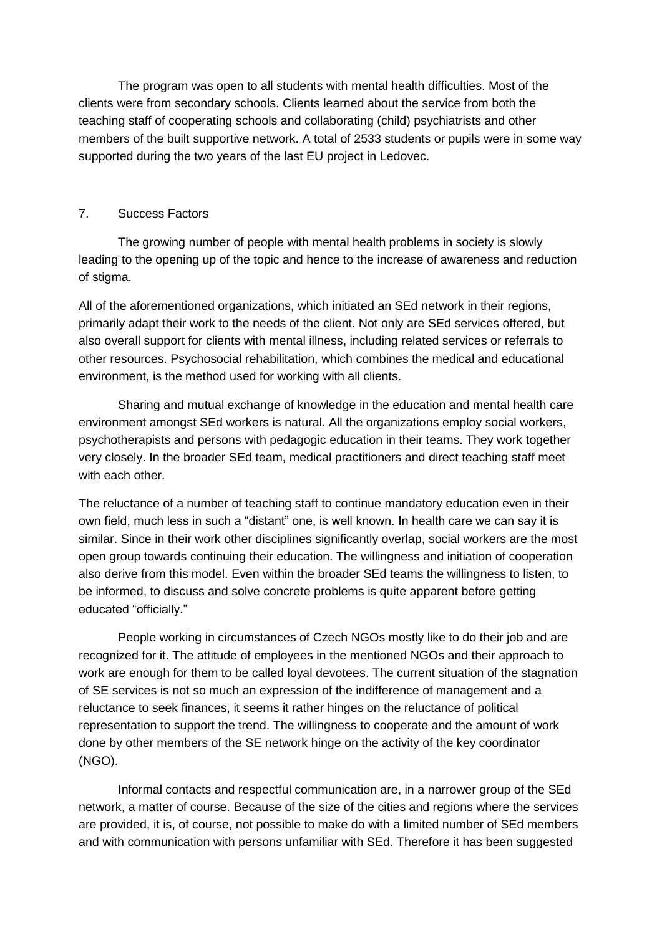The program was open to all students with mental health difficulties. Most of the clients were from secondary schools. Clients learned about the service from both the teaching staff of cooperating schools and collaborating (child) psychiatrists and other members of the built supportive network. A total of 2533 students or pupils were in some way supported during the two years of the last EU project in Ledovec.

#### 7. Success Factors

The growing number of people with mental health problems in society is slowly leading to the opening up of the topic and hence to the increase of awareness and reduction of stigma.

All of the aforementioned organizations, which initiated an SEd network in their regions, primarily adapt their work to the needs of the client. Not only are SEd services offered, but also overall support for clients with mental illness, including related services or referrals to other resources. Psychosocial rehabilitation, which combines the medical and educational environment, is the method used for working with all clients.

Sharing and mutual exchange of knowledge in the education and mental health care environment amongst SEd workers is natural. All the organizations employ social workers, psychotherapists and persons with pedagogic education in their teams. They work together very closely. In the broader SEd team, medical practitioners and direct teaching staff meet with each other.

The reluctance of a number of teaching staff to continue mandatory education even in their own field, much less in such a "distant" one, is well known. In health care we can say it is similar. Since in their work other disciplines significantly overlap, social workers are the most open group towards continuing their education. The willingness and initiation of cooperation also derive from this model. Even within the broader SEd teams the willingness to listen, to be informed, to discuss and solve concrete problems is quite apparent before getting educated "officially."

People working in circumstances of Czech NGOs mostly like to do their job and are recognized for it. The attitude of employees in the mentioned NGOs and their approach to work are enough for them to be called loyal devotees. The current situation of the stagnation of SE services is not so much an expression of the indifference of management and a reluctance to seek finances, it seems it rather hinges on the reluctance of political representation to support the trend. The willingness to cooperate and the amount of work done by other members of the SE network hinge on the activity of the key coordinator (NGO).

Informal contacts and respectful communication are, in a narrower group of the SEd network, a matter of course. Because of the size of the cities and regions where the services are provided, it is, of course, not possible to make do with a limited number of SEd members and with communication with persons unfamiliar with SEd. Therefore it has been suggested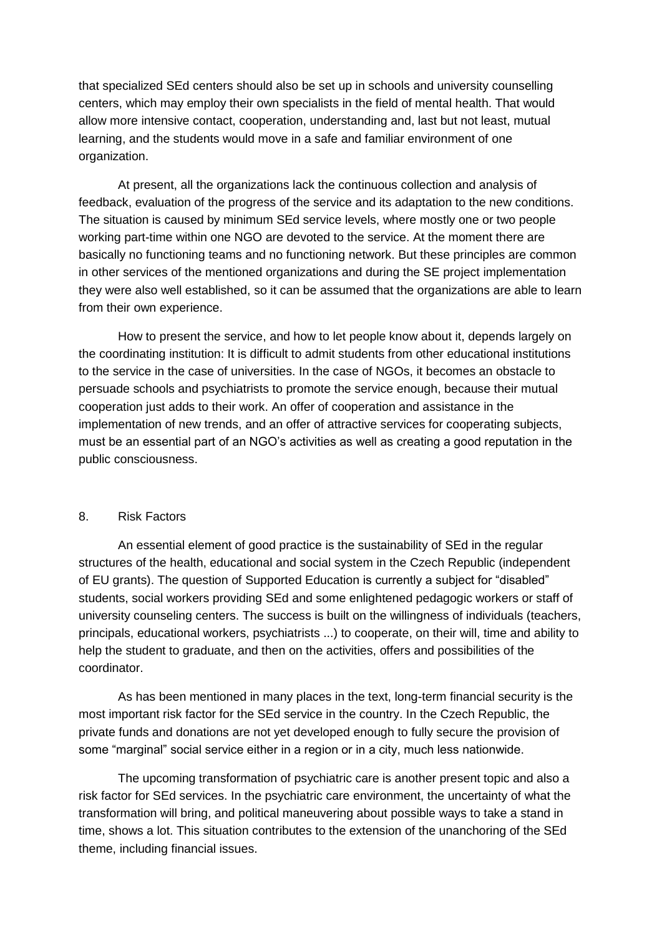that specialized SEd centers should also be set up in schools and university counselling centers, which may employ their own specialists in the field of mental health. That would allow more intensive contact, cooperation, understanding and, last but not least, mutual learning, and the students would move in a safe and familiar environment of one organization.

At present, all the organizations lack the continuous collection and analysis of feedback, evaluation of the progress of the service and its adaptation to the new conditions. The situation is caused by minimum SEd service levels, where mostly one or two people working part-time within one NGO are devoted to the service. At the moment there are basically no functioning teams and no functioning network. But these principles are common in other services of the mentioned organizations and during the SE project implementation they were also well established, so it can be assumed that the organizations are able to learn from their own experience.

How to present the service, and how to let people know about it, depends largely on the coordinating institution: It is difficult to admit students from other educational institutions to the service in the case of universities. In the case of NGOs, it becomes an obstacle to persuade schools and psychiatrists to promote the service enough, because their mutual cooperation just adds to their work. An offer of cooperation and assistance in the implementation of new trends, and an offer of attractive services for cooperating subjects, must be an essential part of an NGO's activities as well as creating a good reputation in the public consciousness.

#### 8. Risk Factors

An essential element of good practice is the sustainability of SEd in the regular structures of the health, educational and social system in the Czech Republic (independent of EU grants). The question of Supported Education is currently a subject for "disabled" students, social workers providing SEd and some enlightened pedagogic workers or staff of university counseling centers. The success is built on the willingness of individuals (teachers, principals, educational workers, psychiatrists ...) to cooperate, on their will, time and ability to help the student to graduate, and then on the activities, offers and possibilities of the coordinator.

As has been mentioned in many places in the text, long-term financial security is the most important risk factor for the SEd service in the country. In the Czech Republic, the private funds and donations are not yet developed enough to fully secure the provision of some "marginal" social service either in a region or in a city, much less nationwide.

The upcoming transformation of psychiatric care is another present topic and also a risk factor for SEd services. In the psychiatric care environment, the uncertainty of what the transformation will bring, and political maneuvering about possible ways to take a stand in time, shows a lot. This situation contributes to the extension of the unanchoring of the SEd theme, including financial issues.